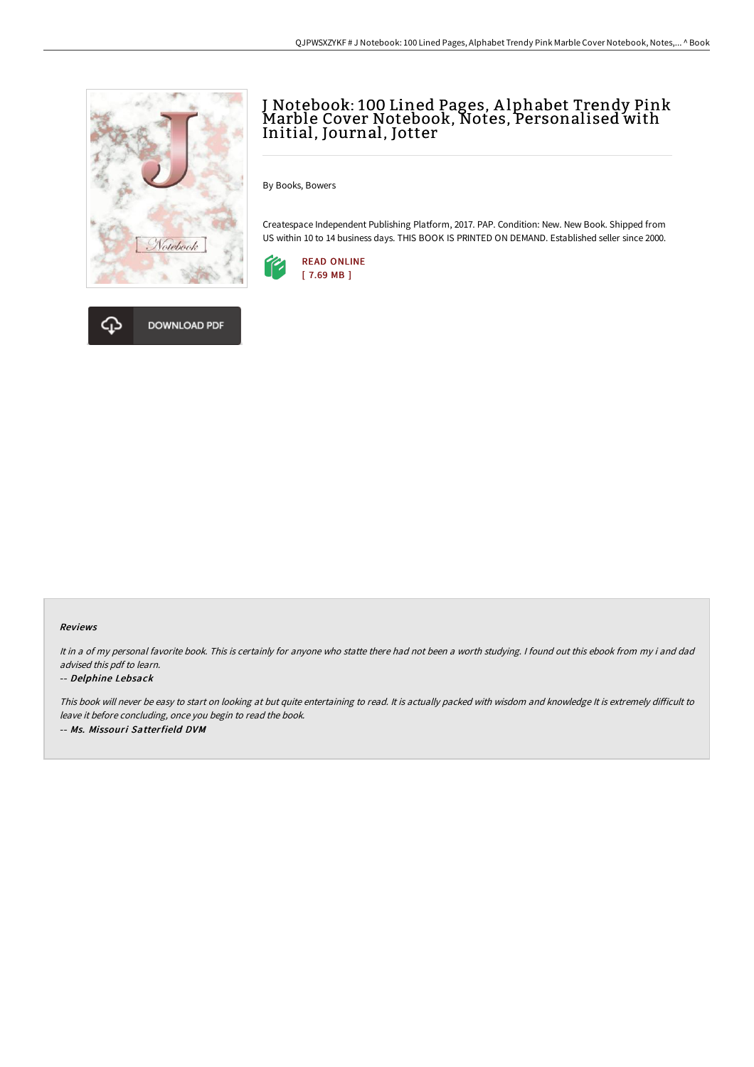



# J Notebook: 100 Lined Pages, A lphabet Trendy Pink Marble Cover Notebook, Notes, Personalised with Initial, Journal, Jotter

By Books, Bowers

Createspace Independent Publishing Platform, 2017. PAP. Condition: New. New Book. Shipped from US within 10 to 14 business days. THIS BOOK IS PRINTED ON DEMAND. Established seller since 2000.



#### Reviews

It in <sup>a</sup> of my personal favorite book. This is certainly for anyone who statte there had not been <sup>a</sup> worth studying. <sup>I</sup> found out this ebook from my i and dad advised this pdf to learn.

#### -- Delphine Lebsack

This book will never be easy to start on looking at but quite entertaining to read. It is actually packed with wisdom and knowledge It is extremely difficult to leave it before concluding, once you begin to read the book. -- Ms. Missouri Satterfield DVM